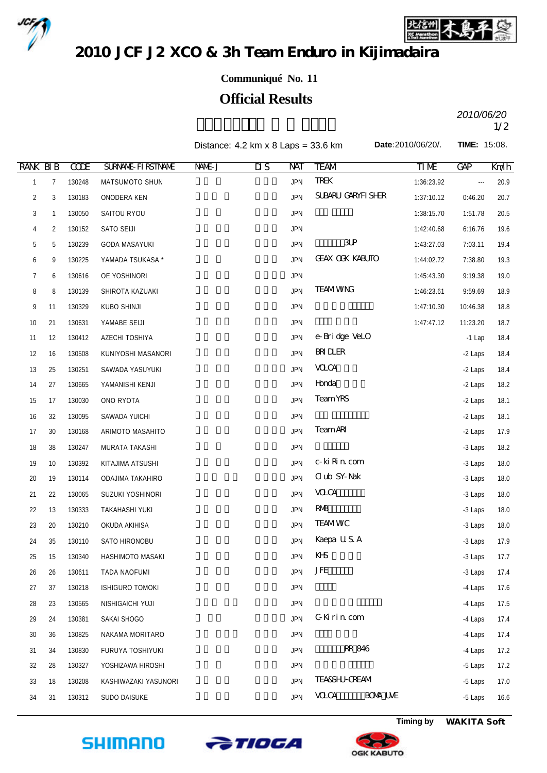



**Date:**2010/06/20/. **TIME:** 15:08.

2010 JCF J2 XCO & 3h Team Enduro in Kijimadaira

## **Communiqué No. 11**

## **Official Results**

 $2010/00720$ *2010/06/20*

Distance: 4.2 km x 8 Laps = 33.6 km

| <b>RANK BIB</b><br><b>TREK</b><br>$\overline{7}$<br>130248<br><b>JPN</b><br>1:36:23.92<br>20.9<br>$\mathbf{1}$<br>MATSUMOTO SHUN<br><br>SUBARU GARYFI SHER<br>$\overline{c}$<br>130183<br><b>JPN</b><br>1:37:10.12<br>3<br>ONODERA KEN<br>0:46.20<br>20.7<br>3<br>130050<br>SAITOU RYOU<br><b>JPN</b><br>1:38:15.70<br>1:51.78<br>20.5<br>$\mathbf{1}$<br>130152<br>SATO SEIJI<br><b>JPN</b><br>1:42:40.68<br>6:16.76<br>19.6<br>4<br>2<br>$3$ UP<br>5<br><b>JPN</b><br>5<br>130239<br><b>GODA MASAYUKI</b><br>1:43:27.03<br>7:03.11<br>19.4<br><b>GEAX OOK KABUTO</b><br><b>JPN</b><br>130225<br>1:44:02.72<br>6<br>9<br>YAMADA TSUKASA *<br>7:38.80<br>19.3<br>OE YOSHINORI<br><b>JPN</b><br>7<br>6<br>130616<br>1:45:43.30<br>9:19.38<br>19.0<br><b>TEAMWNG</b><br><b>JPN</b><br>18.9<br>8<br>8<br>130139<br>SHIROTA KAZUAKI<br>1:46:23.61<br>9:59.69<br><b>JPN</b><br>9<br>130329<br>KUBO SHINJI<br>1:47:10.30<br>18.8<br>11<br>10:46.38<br><b>JPN</b><br>1:47:47.12<br>18.7<br>10<br>21<br>130631<br>YAMABE SEIJI<br>11:23.20<br>e-Bridge VeLO<br><b>JPN</b><br>11<br>130412<br>AZECHI TOSHIYA<br>$-1$ Lap<br>18.4<br>12<br><b>BRIDLER</b><br><b>JPN</b><br>12<br>16<br>130508<br>KUNIYOSHI MASANORI<br>-2 Laps<br>18.4<br><b>VOCA</b><br><b>JPN</b><br>13<br>25<br>130251<br>SAWADA YASUYUKI<br>-2 Laps<br>18.4<br>Horda<br><b>JPN</b><br>18.2<br>14<br>27<br>130665<br>YAMANISHI KENJI<br>-2 Laps<br><b>Team YRS</b><br><b>JPN</b><br>15<br>130030<br>ONO RYOTA<br>18.1<br>17<br>-2 Laps<br><b>JPN</b><br>16<br>32<br>130095<br>SAWADA YUICHI<br>-2 Laps<br>18.1<br><b>TeamARI</b><br><b>JPN</b><br>17<br>130168<br>ARIMOTO MASAHITO<br>17.9<br>30<br>-2 Laps<br><b>JPN</b><br>18<br>38<br>130247<br>MURATA TAKASHI<br>-3 Laps<br>18.2<br>c-ki Rin com<br>KITAJIMA ATSUSHI<br><b>JPN</b><br>19<br>10<br>130392<br>-3 Laps<br>18.0<br><b>Club SY-Nak</b><br><b>JPN</b><br>18.0<br>20<br>19<br>130114<br>ODAJIMA TAKAHIRO<br>-3 Laps<br><b>VOCA</b><br><b>JPN</b><br>21<br>130065<br>SUZUKI YOSHINORI<br>18.0<br>22<br>-3 Laps<br><b>RMB</b><br><b>JPN</b><br>22<br>13<br>130333<br><b>TAKAHASHI YUKI</b><br>-3 Laps<br>18.0<br><b>TEAMWC</b><br><b>JPN</b><br>23<br>130210<br>OKUDA AKIHISA<br>18.0<br>20<br>-3 Laps<br>Kaepa U.S. A<br>35<br>130110<br>SATO HIRONOBU<br><b>JPN</b><br>-3 Laps<br>17.9<br>24<br>KHS<br><b>JPN</b><br>25<br>15<br>130340<br>HASHIMOTO MASAKI<br>-3 Laps<br>17.7<br><b>JFE</b><br><b>JPN</b><br>26<br>26<br>130611<br>TADA NAOFUMI<br>-3 Laps<br>17.4<br>27<br>130218<br>ISHIGURO TOMOKI<br><b>JPN</b><br>-4 Laps<br>17.6<br>37<br>130565<br>NISHIGAICHI YUJI<br><b>JPN</b><br>-4 Laps<br>17.5<br>28<br>23<br>G Kirin com<br><b>JPN</b><br>29<br>130381<br>SAKAI SHOGO<br>17.4<br>-4 Laps<br>24<br><b>JPN</b><br>30<br>36<br>130825<br>NAKAMA MORITARO<br>-4 Laps<br>17.4<br>RR 846<br><b>JPN</b><br>130830<br>FURUYA TOSHIYUKI<br>-4 Laps<br>17.2<br>31<br>34<br>32<br>130327<br>YOSHIZAWA HIROSHI<br><b>JPN</b><br>17.2<br>28<br>-5 Laps<br><b>TEA&amp;SHJ-CREAM</b><br>33<br>KASHIWAZAKI YASUNORI<br><b>JPN</b><br>-5 Laps<br>17.0<br>18<br>130208 |  | <b>CODE</b> | <b>SURVANE FIRSTIVANE</b> | NAME J | $\overline{\text{MS}}$ | NAT        | <b>TEAM</b>                    | TIME | <b>GAP</b> | Km/h |
|-------------------------------------------------------------------------------------------------------------------------------------------------------------------------------------------------------------------------------------------------------------------------------------------------------------------------------------------------------------------------------------------------------------------------------------------------------------------------------------------------------------------------------------------------------------------------------------------------------------------------------------------------------------------------------------------------------------------------------------------------------------------------------------------------------------------------------------------------------------------------------------------------------------------------------------------------------------------------------------------------------------------------------------------------------------------------------------------------------------------------------------------------------------------------------------------------------------------------------------------------------------------------------------------------------------------------------------------------------------------------------------------------------------------------------------------------------------------------------------------------------------------------------------------------------------------------------------------------------------------------------------------------------------------------------------------------------------------------------------------------------------------------------------------------------------------------------------------------------------------------------------------------------------------------------------------------------------------------------------------------------------------------------------------------------------------------------------------------------------------------------------------------------------------------------------------------------------------------------------------------------------------------------------------------------------------------------------------------------------------------------------------------------------------------------------------------------------------------------------------------------------------------------------------------------------------------------------------------------------------------------------------------------------------------------------------------------------------------------------------------------------------------------------------------------------------------------------------------------------------------------------------------------------------------------------------------------------------------------------------------------------------------------------------------------------------------------------------|--|-------------|---------------------------|--------|------------------------|------------|--------------------------------|------|------------|------|
|                                                                                                                                                                                                                                                                                                                                                                                                                                                                                                                                                                                                                                                                                                                                                                                                                                                                                                                                                                                                                                                                                                                                                                                                                                                                                                                                                                                                                                                                                                                                                                                                                                                                                                                                                                                                                                                                                                                                                                                                                                                                                                                                                                                                                                                                                                                                                                                                                                                                                                                                                                                                                                                                                                                                                                                                                                                                                                                                                                                                                                                                                           |  |             |                           |        |                        |            |                                |      |            |      |
|                                                                                                                                                                                                                                                                                                                                                                                                                                                                                                                                                                                                                                                                                                                                                                                                                                                                                                                                                                                                                                                                                                                                                                                                                                                                                                                                                                                                                                                                                                                                                                                                                                                                                                                                                                                                                                                                                                                                                                                                                                                                                                                                                                                                                                                                                                                                                                                                                                                                                                                                                                                                                                                                                                                                                                                                                                                                                                                                                                                                                                                                                           |  |             |                           |        |                        |            |                                |      |            |      |
|                                                                                                                                                                                                                                                                                                                                                                                                                                                                                                                                                                                                                                                                                                                                                                                                                                                                                                                                                                                                                                                                                                                                                                                                                                                                                                                                                                                                                                                                                                                                                                                                                                                                                                                                                                                                                                                                                                                                                                                                                                                                                                                                                                                                                                                                                                                                                                                                                                                                                                                                                                                                                                                                                                                                                                                                                                                                                                                                                                                                                                                                                           |  |             |                           |        |                        |            |                                |      |            |      |
|                                                                                                                                                                                                                                                                                                                                                                                                                                                                                                                                                                                                                                                                                                                                                                                                                                                                                                                                                                                                                                                                                                                                                                                                                                                                                                                                                                                                                                                                                                                                                                                                                                                                                                                                                                                                                                                                                                                                                                                                                                                                                                                                                                                                                                                                                                                                                                                                                                                                                                                                                                                                                                                                                                                                                                                                                                                                                                                                                                                                                                                                                           |  |             |                           |        |                        |            |                                |      |            |      |
|                                                                                                                                                                                                                                                                                                                                                                                                                                                                                                                                                                                                                                                                                                                                                                                                                                                                                                                                                                                                                                                                                                                                                                                                                                                                                                                                                                                                                                                                                                                                                                                                                                                                                                                                                                                                                                                                                                                                                                                                                                                                                                                                                                                                                                                                                                                                                                                                                                                                                                                                                                                                                                                                                                                                                                                                                                                                                                                                                                                                                                                                                           |  |             |                           |        |                        |            |                                |      |            |      |
|                                                                                                                                                                                                                                                                                                                                                                                                                                                                                                                                                                                                                                                                                                                                                                                                                                                                                                                                                                                                                                                                                                                                                                                                                                                                                                                                                                                                                                                                                                                                                                                                                                                                                                                                                                                                                                                                                                                                                                                                                                                                                                                                                                                                                                                                                                                                                                                                                                                                                                                                                                                                                                                                                                                                                                                                                                                                                                                                                                                                                                                                                           |  |             |                           |        |                        |            |                                |      |            |      |
|                                                                                                                                                                                                                                                                                                                                                                                                                                                                                                                                                                                                                                                                                                                                                                                                                                                                                                                                                                                                                                                                                                                                                                                                                                                                                                                                                                                                                                                                                                                                                                                                                                                                                                                                                                                                                                                                                                                                                                                                                                                                                                                                                                                                                                                                                                                                                                                                                                                                                                                                                                                                                                                                                                                                                                                                                                                                                                                                                                                                                                                                                           |  |             |                           |        |                        |            |                                |      |            |      |
|                                                                                                                                                                                                                                                                                                                                                                                                                                                                                                                                                                                                                                                                                                                                                                                                                                                                                                                                                                                                                                                                                                                                                                                                                                                                                                                                                                                                                                                                                                                                                                                                                                                                                                                                                                                                                                                                                                                                                                                                                                                                                                                                                                                                                                                                                                                                                                                                                                                                                                                                                                                                                                                                                                                                                                                                                                                                                                                                                                                                                                                                                           |  |             |                           |        |                        |            |                                |      |            |      |
|                                                                                                                                                                                                                                                                                                                                                                                                                                                                                                                                                                                                                                                                                                                                                                                                                                                                                                                                                                                                                                                                                                                                                                                                                                                                                                                                                                                                                                                                                                                                                                                                                                                                                                                                                                                                                                                                                                                                                                                                                                                                                                                                                                                                                                                                                                                                                                                                                                                                                                                                                                                                                                                                                                                                                                                                                                                                                                                                                                                                                                                                                           |  |             |                           |        |                        |            |                                |      |            |      |
|                                                                                                                                                                                                                                                                                                                                                                                                                                                                                                                                                                                                                                                                                                                                                                                                                                                                                                                                                                                                                                                                                                                                                                                                                                                                                                                                                                                                                                                                                                                                                                                                                                                                                                                                                                                                                                                                                                                                                                                                                                                                                                                                                                                                                                                                                                                                                                                                                                                                                                                                                                                                                                                                                                                                                                                                                                                                                                                                                                                                                                                                                           |  |             |                           |        |                        |            |                                |      |            |      |
|                                                                                                                                                                                                                                                                                                                                                                                                                                                                                                                                                                                                                                                                                                                                                                                                                                                                                                                                                                                                                                                                                                                                                                                                                                                                                                                                                                                                                                                                                                                                                                                                                                                                                                                                                                                                                                                                                                                                                                                                                                                                                                                                                                                                                                                                                                                                                                                                                                                                                                                                                                                                                                                                                                                                                                                                                                                                                                                                                                                                                                                                                           |  |             |                           |        |                        |            |                                |      |            |      |
|                                                                                                                                                                                                                                                                                                                                                                                                                                                                                                                                                                                                                                                                                                                                                                                                                                                                                                                                                                                                                                                                                                                                                                                                                                                                                                                                                                                                                                                                                                                                                                                                                                                                                                                                                                                                                                                                                                                                                                                                                                                                                                                                                                                                                                                                                                                                                                                                                                                                                                                                                                                                                                                                                                                                                                                                                                                                                                                                                                                                                                                                                           |  |             |                           |        |                        |            |                                |      |            |      |
|                                                                                                                                                                                                                                                                                                                                                                                                                                                                                                                                                                                                                                                                                                                                                                                                                                                                                                                                                                                                                                                                                                                                                                                                                                                                                                                                                                                                                                                                                                                                                                                                                                                                                                                                                                                                                                                                                                                                                                                                                                                                                                                                                                                                                                                                                                                                                                                                                                                                                                                                                                                                                                                                                                                                                                                                                                                                                                                                                                                                                                                                                           |  |             |                           |        |                        |            |                                |      |            |      |
|                                                                                                                                                                                                                                                                                                                                                                                                                                                                                                                                                                                                                                                                                                                                                                                                                                                                                                                                                                                                                                                                                                                                                                                                                                                                                                                                                                                                                                                                                                                                                                                                                                                                                                                                                                                                                                                                                                                                                                                                                                                                                                                                                                                                                                                                                                                                                                                                                                                                                                                                                                                                                                                                                                                                                                                                                                                                                                                                                                                                                                                                                           |  |             |                           |        |                        |            |                                |      |            |      |
|                                                                                                                                                                                                                                                                                                                                                                                                                                                                                                                                                                                                                                                                                                                                                                                                                                                                                                                                                                                                                                                                                                                                                                                                                                                                                                                                                                                                                                                                                                                                                                                                                                                                                                                                                                                                                                                                                                                                                                                                                                                                                                                                                                                                                                                                                                                                                                                                                                                                                                                                                                                                                                                                                                                                                                                                                                                                                                                                                                                                                                                                                           |  |             |                           |        |                        |            |                                |      |            |      |
|                                                                                                                                                                                                                                                                                                                                                                                                                                                                                                                                                                                                                                                                                                                                                                                                                                                                                                                                                                                                                                                                                                                                                                                                                                                                                                                                                                                                                                                                                                                                                                                                                                                                                                                                                                                                                                                                                                                                                                                                                                                                                                                                                                                                                                                                                                                                                                                                                                                                                                                                                                                                                                                                                                                                                                                                                                                                                                                                                                                                                                                                                           |  |             |                           |        |                        |            |                                |      |            |      |
|                                                                                                                                                                                                                                                                                                                                                                                                                                                                                                                                                                                                                                                                                                                                                                                                                                                                                                                                                                                                                                                                                                                                                                                                                                                                                                                                                                                                                                                                                                                                                                                                                                                                                                                                                                                                                                                                                                                                                                                                                                                                                                                                                                                                                                                                                                                                                                                                                                                                                                                                                                                                                                                                                                                                                                                                                                                                                                                                                                                                                                                                                           |  |             |                           |        |                        |            |                                |      |            |      |
|                                                                                                                                                                                                                                                                                                                                                                                                                                                                                                                                                                                                                                                                                                                                                                                                                                                                                                                                                                                                                                                                                                                                                                                                                                                                                                                                                                                                                                                                                                                                                                                                                                                                                                                                                                                                                                                                                                                                                                                                                                                                                                                                                                                                                                                                                                                                                                                                                                                                                                                                                                                                                                                                                                                                                                                                                                                                                                                                                                                                                                                                                           |  |             |                           |        |                        |            |                                |      |            |      |
|                                                                                                                                                                                                                                                                                                                                                                                                                                                                                                                                                                                                                                                                                                                                                                                                                                                                                                                                                                                                                                                                                                                                                                                                                                                                                                                                                                                                                                                                                                                                                                                                                                                                                                                                                                                                                                                                                                                                                                                                                                                                                                                                                                                                                                                                                                                                                                                                                                                                                                                                                                                                                                                                                                                                                                                                                                                                                                                                                                                                                                                                                           |  |             |                           |        |                        |            |                                |      |            |      |
|                                                                                                                                                                                                                                                                                                                                                                                                                                                                                                                                                                                                                                                                                                                                                                                                                                                                                                                                                                                                                                                                                                                                                                                                                                                                                                                                                                                                                                                                                                                                                                                                                                                                                                                                                                                                                                                                                                                                                                                                                                                                                                                                                                                                                                                                                                                                                                                                                                                                                                                                                                                                                                                                                                                                                                                                                                                                                                                                                                                                                                                                                           |  |             |                           |        |                        |            |                                |      |            |      |
|                                                                                                                                                                                                                                                                                                                                                                                                                                                                                                                                                                                                                                                                                                                                                                                                                                                                                                                                                                                                                                                                                                                                                                                                                                                                                                                                                                                                                                                                                                                                                                                                                                                                                                                                                                                                                                                                                                                                                                                                                                                                                                                                                                                                                                                                                                                                                                                                                                                                                                                                                                                                                                                                                                                                                                                                                                                                                                                                                                                                                                                                                           |  |             |                           |        |                        |            |                                |      |            |      |
|                                                                                                                                                                                                                                                                                                                                                                                                                                                                                                                                                                                                                                                                                                                                                                                                                                                                                                                                                                                                                                                                                                                                                                                                                                                                                                                                                                                                                                                                                                                                                                                                                                                                                                                                                                                                                                                                                                                                                                                                                                                                                                                                                                                                                                                                                                                                                                                                                                                                                                                                                                                                                                                                                                                                                                                                                                                                                                                                                                                                                                                                                           |  |             |                           |        |                        |            |                                |      |            |      |
|                                                                                                                                                                                                                                                                                                                                                                                                                                                                                                                                                                                                                                                                                                                                                                                                                                                                                                                                                                                                                                                                                                                                                                                                                                                                                                                                                                                                                                                                                                                                                                                                                                                                                                                                                                                                                                                                                                                                                                                                                                                                                                                                                                                                                                                                                                                                                                                                                                                                                                                                                                                                                                                                                                                                                                                                                                                                                                                                                                                                                                                                                           |  |             |                           |        |                        |            |                                |      |            |      |
|                                                                                                                                                                                                                                                                                                                                                                                                                                                                                                                                                                                                                                                                                                                                                                                                                                                                                                                                                                                                                                                                                                                                                                                                                                                                                                                                                                                                                                                                                                                                                                                                                                                                                                                                                                                                                                                                                                                                                                                                                                                                                                                                                                                                                                                                                                                                                                                                                                                                                                                                                                                                                                                                                                                                                                                                                                                                                                                                                                                                                                                                                           |  |             |                           |        |                        |            |                                |      |            |      |
|                                                                                                                                                                                                                                                                                                                                                                                                                                                                                                                                                                                                                                                                                                                                                                                                                                                                                                                                                                                                                                                                                                                                                                                                                                                                                                                                                                                                                                                                                                                                                                                                                                                                                                                                                                                                                                                                                                                                                                                                                                                                                                                                                                                                                                                                                                                                                                                                                                                                                                                                                                                                                                                                                                                                                                                                                                                                                                                                                                                                                                                                                           |  |             |                           |        |                        |            |                                |      |            |      |
|                                                                                                                                                                                                                                                                                                                                                                                                                                                                                                                                                                                                                                                                                                                                                                                                                                                                                                                                                                                                                                                                                                                                                                                                                                                                                                                                                                                                                                                                                                                                                                                                                                                                                                                                                                                                                                                                                                                                                                                                                                                                                                                                                                                                                                                                                                                                                                                                                                                                                                                                                                                                                                                                                                                                                                                                                                                                                                                                                                                                                                                                                           |  |             |                           |        |                        |            |                                |      |            |      |
|                                                                                                                                                                                                                                                                                                                                                                                                                                                                                                                                                                                                                                                                                                                                                                                                                                                                                                                                                                                                                                                                                                                                                                                                                                                                                                                                                                                                                                                                                                                                                                                                                                                                                                                                                                                                                                                                                                                                                                                                                                                                                                                                                                                                                                                                                                                                                                                                                                                                                                                                                                                                                                                                                                                                                                                                                                                                                                                                                                                                                                                                                           |  |             |                           |        |                        |            |                                |      |            |      |
|                                                                                                                                                                                                                                                                                                                                                                                                                                                                                                                                                                                                                                                                                                                                                                                                                                                                                                                                                                                                                                                                                                                                                                                                                                                                                                                                                                                                                                                                                                                                                                                                                                                                                                                                                                                                                                                                                                                                                                                                                                                                                                                                                                                                                                                                                                                                                                                                                                                                                                                                                                                                                                                                                                                                                                                                                                                                                                                                                                                                                                                                                           |  |             |                           |        |                        |            |                                |      |            |      |
|                                                                                                                                                                                                                                                                                                                                                                                                                                                                                                                                                                                                                                                                                                                                                                                                                                                                                                                                                                                                                                                                                                                                                                                                                                                                                                                                                                                                                                                                                                                                                                                                                                                                                                                                                                                                                                                                                                                                                                                                                                                                                                                                                                                                                                                                                                                                                                                                                                                                                                                                                                                                                                                                                                                                                                                                                                                                                                                                                                                                                                                                                           |  |             |                           |        |                        |            |                                |      |            |      |
|                                                                                                                                                                                                                                                                                                                                                                                                                                                                                                                                                                                                                                                                                                                                                                                                                                                                                                                                                                                                                                                                                                                                                                                                                                                                                                                                                                                                                                                                                                                                                                                                                                                                                                                                                                                                                                                                                                                                                                                                                                                                                                                                                                                                                                                                                                                                                                                                                                                                                                                                                                                                                                                                                                                                                                                                                                                                                                                                                                                                                                                                                           |  |             |                           |        |                        |            |                                |      |            |      |
|                                                                                                                                                                                                                                                                                                                                                                                                                                                                                                                                                                                                                                                                                                                                                                                                                                                                                                                                                                                                                                                                                                                                                                                                                                                                                                                                                                                                                                                                                                                                                                                                                                                                                                                                                                                                                                                                                                                                                                                                                                                                                                                                                                                                                                                                                                                                                                                                                                                                                                                                                                                                                                                                                                                                                                                                                                                                                                                                                                                                                                                                                           |  |             |                           |        |                        |            |                                |      |            |      |
|                                                                                                                                                                                                                                                                                                                                                                                                                                                                                                                                                                                                                                                                                                                                                                                                                                                                                                                                                                                                                                                                                                                                                                                                                                                                                                                                                                                                                                                                                                                                                                                                                                                                                                                                                                                                                                                                                                                                                                                                                                                                                                                                                                                                                                                                                                                                                                                                                                                                                                                                                                                                                                                                                                                                                                                                                                                                                                                                                                                                                                                                                           |  |             |                           |        |                        |            |                                |      |            |      |
|                                                                                                                                                                                                                                                                                                                                                                                                                                                                                                                                                                                                                                                                                                                                                                                                                                                                                                                                                                                                                                                                                                                                                                                                                                                                                                                                                                                                                                                                                                                                                                                                                                                                                                                                                                                                                                                                                                                                                                                                                                                                                                                                                                                                                                                                                                                                                                                                                                                                                                                                                                                                                                                                                                                                                                                                                                                                                                                                                                                                                                                                                           |  |             |                           |        |                        |            |                                |      |            |      |
| 34<br>31<br>130312<br>SUDO DAISUKE<br>-5 Laps                                                                                                                                                                                                                                                                                                                                                                                                                                                                                                                                                                                                                                                                                                                                                                                                                                                                                                                                                                                                                                                                                                                                                                                                                                                                                                                                                                                                                                                                                                                                                                                                                                                                                                                                                                                                                                                                                                                                                                                                                                                                                                                                                                                                                                                                                                                                                                                                                                                                                                                                                                                                                                                                                                                                                                                                                                                                                                                                                                                                                                             |  |             |                           |        |                        | <b>JPN</b> | <b>VOLCA</b><br><b>BOM UME</b> |      |            | 16.6 |







**Timing by** *WAKITA Soft*